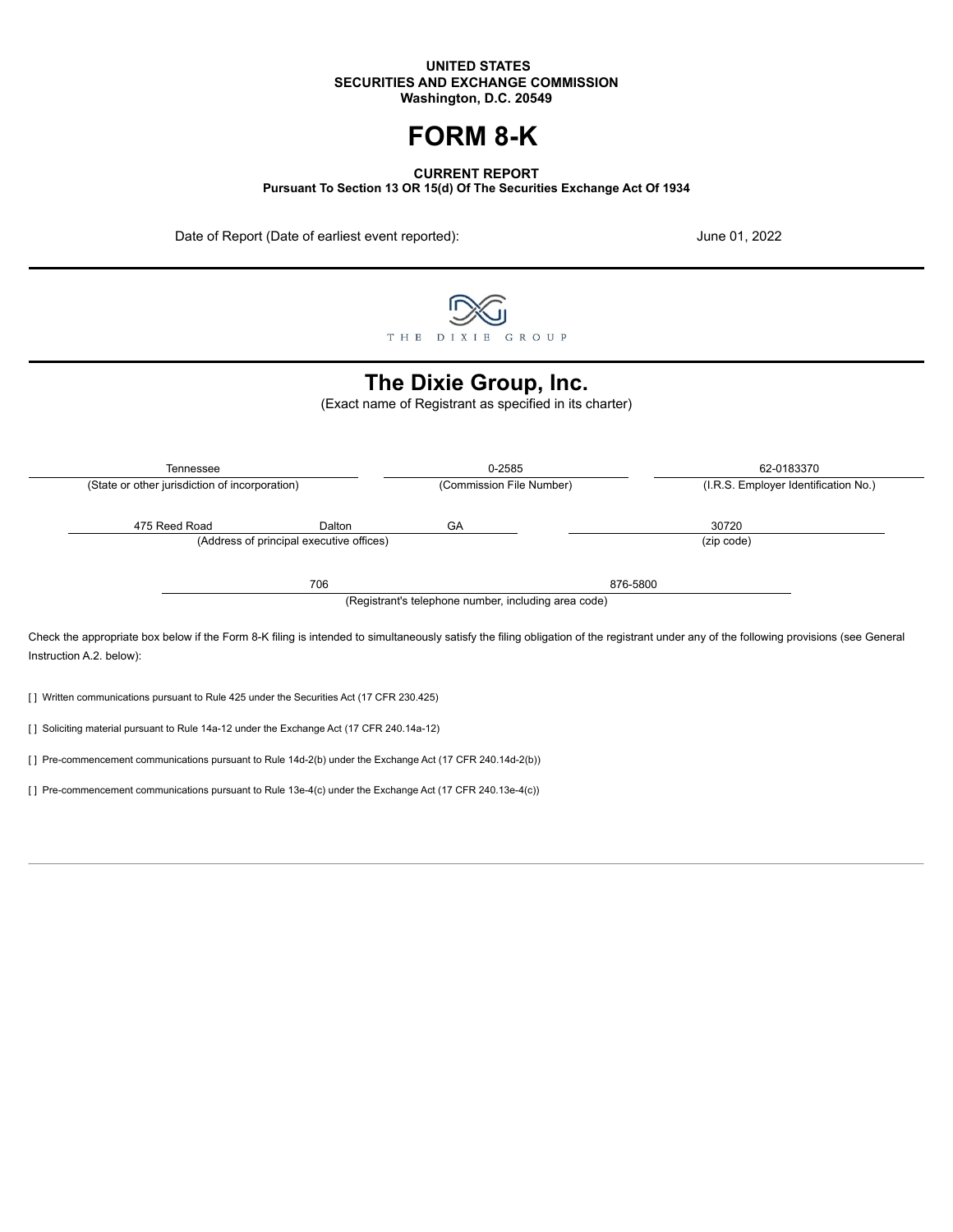#### **UNITED STATES SECURITIES AND EXCHANGE COMMISSION Washington, D.C. 20549**

# **FORM 8-K**

**CURRENT REPORT**

**Pursuant To Section 13 OR 15(d) Of The Securities Exchange Act Of 1934**

Date of Report (Date of earliest event reported): June 01, 2022



## **The Dixie Group, Inc.**

(Exact name of Registrant as specified in its charter)

| Tennessee<br>(State or other jurisdiction of incorporation) |        | 0-2585                                               | 62-0183370                           |
|-------------------------------------------------------------|--------|------------------------------------------------------|--------------------------------------|
|                                                             |        | (Commission File Number)                             | (I.R.S. Employer Identification No.) |
| 475 Reed Road                                               | Dalton | GA                                                   | 30720                                |
| (Address of principal executive offices)                    |        |                                                      | (zip code)                           |
|                                                             | 706    |                                                      | 876-5800                             |
|                                                             |        | (Registrant's telephone number, including area code) |                                      |

Check the appropriate box below if the Form 8-K filing is intended to simultaneously satisfy the filing obligation of the registrant under any of the following provisions (see General Instruction A.2. below):

[] Written communications pursuant to Rule 425 under the Securities Act (17 CFR 230.425)

[] Soliciting material pursuant to Rule 14a-12 under the Exchange Act (17 CFR 240.14a-12)

[] Pre-commencement communications pursuant to Rule 14d-2(b) under the Exchange Act (17 CFR 240.14d-2(b))

[ ] Pre-commencement communications pursuant to Rule 13e-4(c) under the Exchange Act (17 CFR 240.13e-4(c))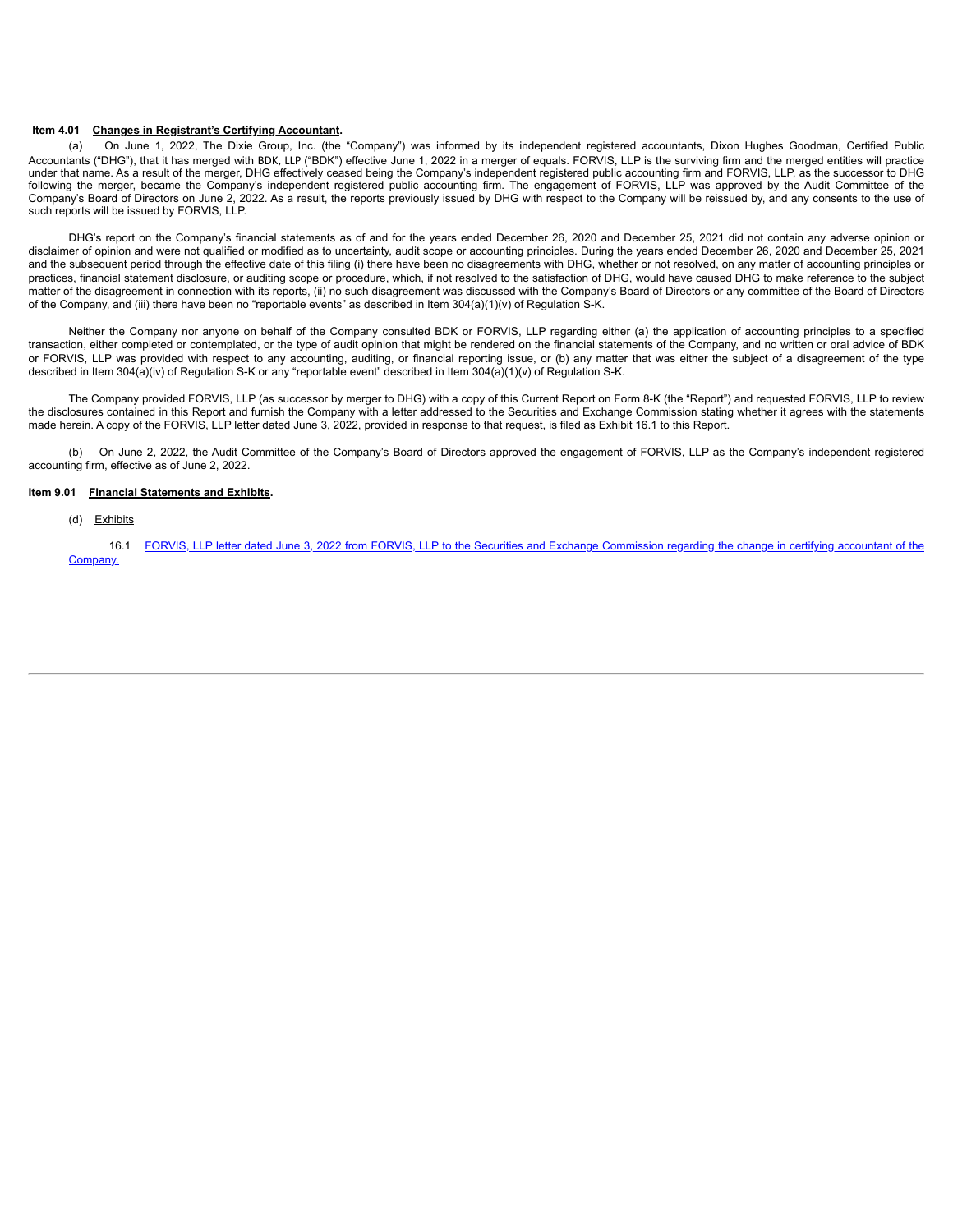#### **Item 4.01 Changes in Registrant's Certifying Accountant.**

(a) On June 1, 2022, The Dixie Group, Inc. (the "Company") was informed by its independent registered accountants, Dixon Hughes Goodman, Certified Public Accountants ("DHG"), that it has merged with BDK, LLP ("BDK") effective June 1, 2022 in a merger of equals. FORVIS, LLP is the surviving firm and the merged entities will practice under that name. As a result of the merger, DHG effectively ceased being the Company's independent registered public accounting firm and FORVIS, LLP, as the successor to DHG following the merger, became the Company's independent registered public accounting firm. The engagement of FORVIS, LLP was approved by the Audit Committee of the Company's Board of Directors on June 2, 2022. As a result, the reports previously issued by DHG with respect to the Company will be reissued by, and any consents to the use of such reports will be issued by FORVIS, LLP.

DHG's report on the Company's financial statements as of and for the years ended December 26, 2020 and December 25, 2021 did not contain any adverse opinion or disclaimer of opinion and were not qualified or modified as to uncertainty, audit scope or accounting principles. During the years ended December 26, 2020 and December 25, 2021 and the subsequent period through the effective date of this filing (i) there have been no disagreements with DHG, whether or not resolved, on any matter of accounting principles or practices, financial statement disclosure, or auditing scope or procedure, which, if not resolved to the satisfaction of DHG, would have caused DHG to make reference to the subject matter of the disagreement in connection with its reports, (ii) no such disagreement was discussed with the Company's Board of Directors or any committee of the Board of Directors of the Company, and (iii) there have been no "reportable events" as described in Item 304(a)(1)(v) of Regulation S-K.

Neither the Company nor anyone on behalf of the Company consulted BDK or FORVIS, LLP regarding either (a) the application of accounting principles to a specified transaction, either completed or contemplated, or the type of audit opinion that might be rendered on the financial statements of the Company, and no written or oral advice of BDK or FORVIS, LLP was provided with respect to any accounting, auditing, or financial reporting issue, or (b) any matter that was either the subject of a disagreement of the type described in Item 304(a)(iv) of Regulation S-K or any "reportable event" described in Item 304(a)(1)(v) of Regulation S-K.

The Company provided FORVIS, LLP (as successor by merger to DHG) with a copy of this Current Report on Form 8-K (the "Report") and requested FORVIS, LLP to review the disclosures contained in this Report and furnish the Company with a letter addressed to the Securities and Exchange Commission stating whether it agrees with the statements made herein. A copy of the FORVIS, LLP letter dated June 3, 2022, provided in response to that request, is filed as Exhibit 16.1 to this Report.

(b) On June 2, 2022, the Audit Committee of the Company's Board of Directors approved the engagement of FORVIS, LLP as the Company's independent registered accounting firm, effective as of June 2, 2022.

#### **Item 9.01 Financial Statements and Exhibits.**

(d) Exhibits

16.1 [FORVIS,](#page-3-0) LLP [l](#page-3-0)etter [dated](#page-3-0) [June](#page-3-0) [3](#page-3-0), [2022](#page-3-0) [from](#page-3-0) [FORVIS](#page-3-0), [LLP](#page-3-0) to the [Securitie](#page-3-0)s and Exchange [Commission](#page-3-0) regarding the change in certifying accountant of the [Company.](#page-3-0)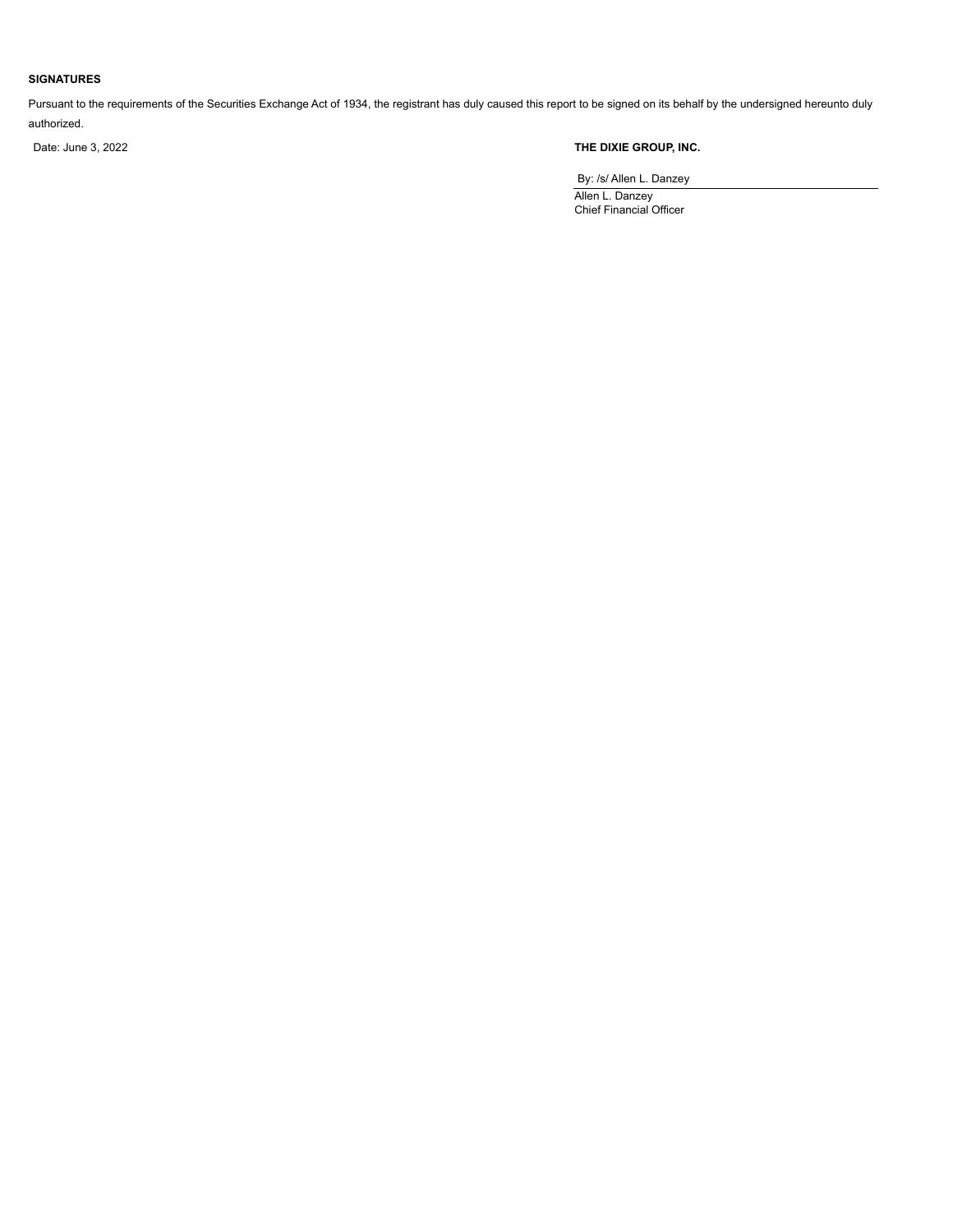### **SIGNATURES**

Pursuant to the requirements of the Securities Exchange Act of 1934, the registrant has duly caused this report to be signed on its behalf by the undersigned hereunto duly authorized.

### Date: June 3, 2022 **THE DIXIE GROUP, INC.**

By: /s/ Allen L. Danzey

Allen L. Danzey Chief Financial Officer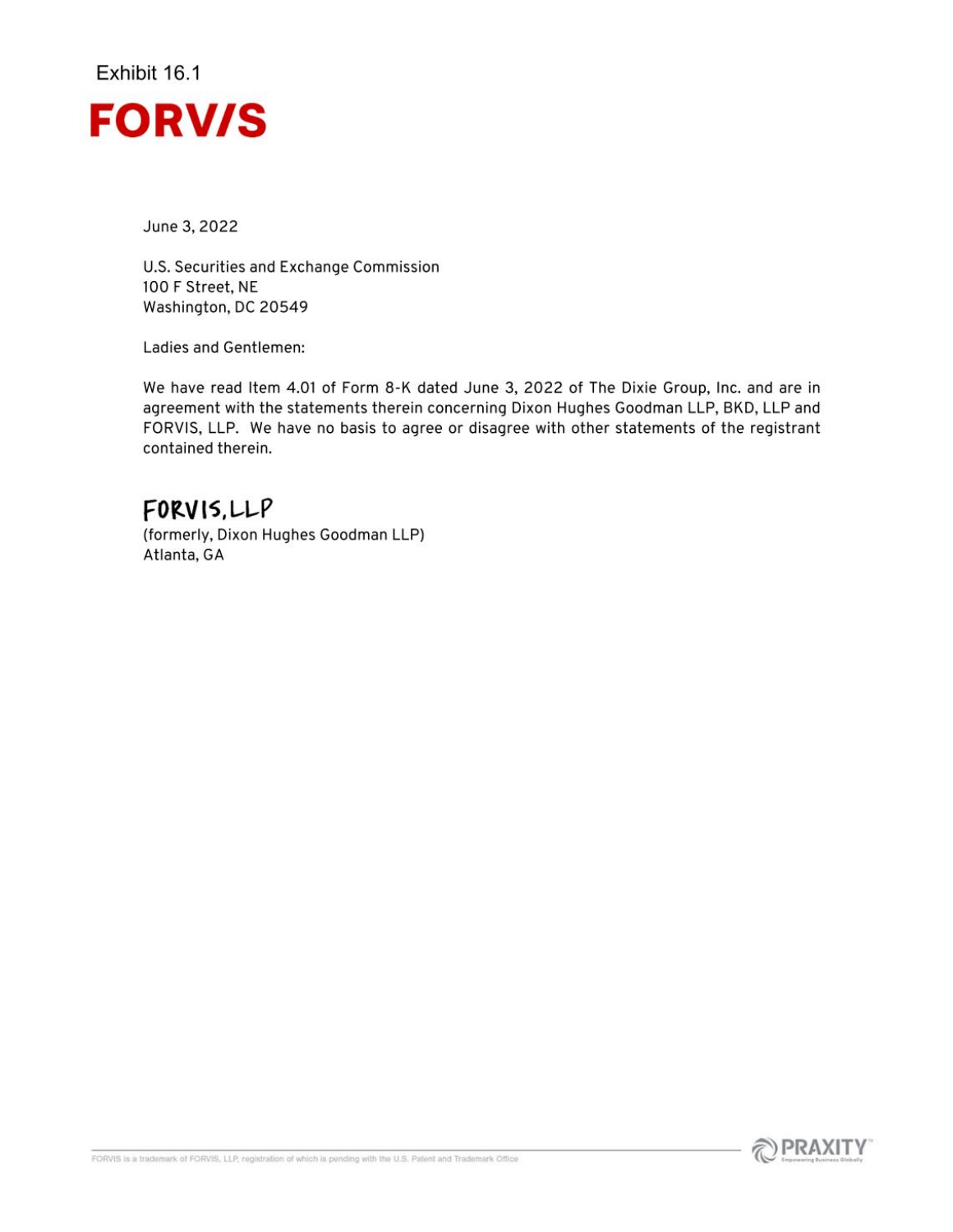<span id="page-3-0"></span>

June 3, 2022

U.S. Securities and Exchange Commission 100 F Street, NE Washington, DC 20549

Ladies and Gentlemen:

We have read Item 4.01 of Form 8-K dated June 3, 2022 of The Dixie Group, Inc. and are in agreement with the statements therein concerning Dixon Hughes Goodman LLP, BKD, LLP and FORVIS, LLP. We have no basis to agree or disagree with other statements of the registrant contained therein.

## FORVIS, LLP

(formerly, Dixon Hughes Goodman LLP) Atlanta, GA